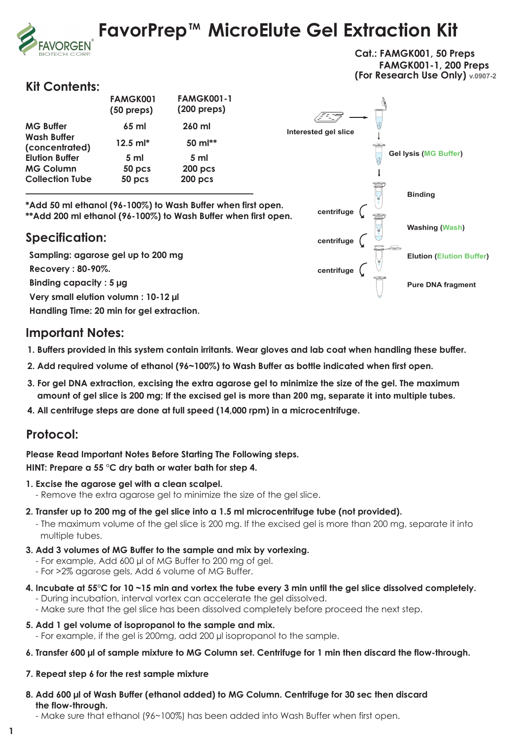# **FavorPrep™ MicroElute Gel Extraction Kit**



### **Kit Contents:**

**/ORGEN** 

|                                      | <b>FAMGK001</b><br>$(50$ preps) | <b>FAMGK001-1</b><br>$(200 \text{ preps})$ |
|--------------------------------------|---------------------------------|--------------------------------------------|
| <b>MG Buffer</b>                     | $65$ ml                         | 260 ml                                     |
| <b>Wash Buffer</b><br>(concentrated) | $12.5$ m $\text{I}^*$           | 50 $ml**$                                  |
| <b>Elution Buffer</b>                | 5 <sub>m</sub>                  | 5 <sub>m</sub>                             |
| <b>MG Column</b>                     | 50 pcs                          | $200$ pcs                                  |
| <b>Collection Tube</b>               | 50 pcs                          | <b>200 pcs</b>                             |



**\*Add 50 ml ethanol (96-100%) to Wash Buffer when first open. \*\*Add 200 ml ethanol (96-100%) to Wash Buffer when first open.**

## **Specification:**

**Sampling: agarose gel up to 200 mg Recovery : 80-90%. Handling Time: 20 min for gel extraction. Binding capacity : 5 µg Very small elution volumn : 10-12 µl**

## **Important Notes:**

- **1. Buffers provided in this system contain irritants. Wear gloves and lab coat when handling these buffer.**
- **2. Add required volume of ethanol (96~100%) to Wash Buffer as bottle indicated when first open.**
- **3. For gel DNA extraction, excising the extra agarose gel to minimize the size of the gel. The maximum amount of gel slice is 200 mg; If the excised gel is more than 200 mg, separate it into multiple tubes.**
- **4. All centrifuge steps are done at full speed (14,000 rpm) in a microcentrifuge.**

## **Protocol:**

#### **Please Read Important Notes Before Starting The Following steps.**

**HINT: Prepare a 55 °C dry bath or water bath for step 4.**

- **1. Excise the agarose gel with a clean scalpel.** - Remove the extra agarose gel to minimize the size of the gel slice.
- **2. Transfer up to 200 mg of the gel slice into a 1.5 ml microcentrifuge tube (not provided).**
	- The maximum volume of the gel slice is 200 mg. If the excised gel is more than 200 mg, separate it into multiple tubes.
- **3. Add 3 volumes of MG Buffer to the sample and mix by vortexing.**
	- For example, Add 600 µl of MG Buffer to 200 mg of gel.
	- For >2% agarose gels, Add 6 volume of MG Buffer.
- **4. Incubate at 55°C for 10 ~15 min and vortex the tube every 3 min until the gel slice dissolved completely.**
	- During incubation, interval vortex can accelerate the gel dissolved. - Make sure that the gel slice has been dissolved completely before proceed the next step.
- **5. Add 1 gel volume of isopropanol to the sample and mix.**
	- For example, if the gel is 200mg, add 200 µl isopropanol to the sample.
- **6. Transfer 600 µl of sample mixture to MG Column set. Centrifuge for 1 min then discard the flow-through.**
- **7. Repeat step 6 for the rest sample mixture**
- **8. Add 600 µl of Wash Buffer (ethanol added) to MG Column. Centrifuge for 30 sec then discard the flow-through.**
	- Make sure that ethanol (96~100%) has been added into Wash Buffer when first open.
- **1**